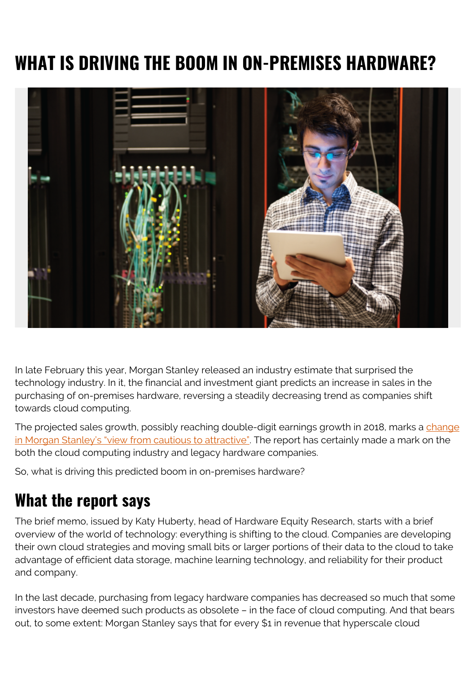# **WHAT IS DRIVING THE BOOM IN ON-PREMISES HARDWARE?**



In late February this year, Morgan Stanley released an industry estimate that surprised the technology industry. In it, the financial and investment giant predicts an increase in sales in the purchasing of on-premises hardware, reversing a steadily decreasing trend as companies shift towards cloud computing.

The projected sales growth, possibly reaching double-digit earnings growth in 2018, marks a [change](https://www.morganstanley.com/ideas/it-hardware-2018) [in Morgan Stanley's "view from cautious to attractive"](https://www.morganstanley.com/ideas/it-hardware-2018). The report has certainly made a mark on the both the cloud computing industry and legacy hardware companies.

So, what is driving this predicted boom in on-premises hardware?

#### **What the report says**

The brief memo, issued by Katy Huberty, head of Hardware Equity Research, starts with a brief overview of the world of technology: everything is shifting to the cloud. Companies are developing their own cloud strategies and moving small bits or larger portions of their data to the cloud to take advantage of efficient data storage, machine learning technology, and reliability for their product and company.

In the last decade, purchasing from legacy hardware companies has decreased so much that some investors have deemed such products as obsolete – in the face of cloud computing. And that bears out, to some extent: Morgan Stanley says that for every \$1 in revenue that hyperscale cloud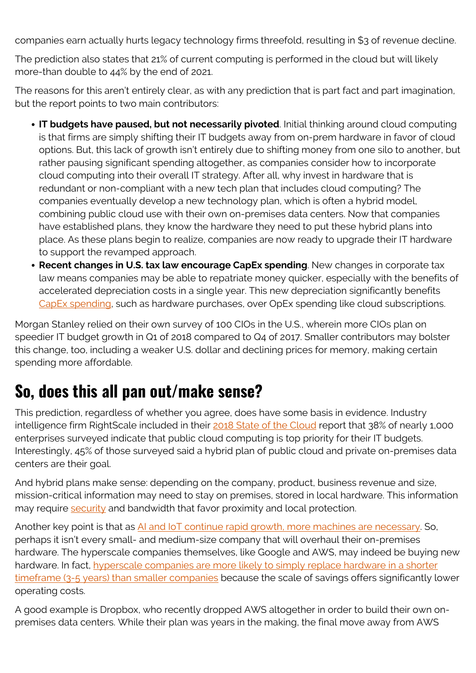companies earn actually hurts legacy technology firms threefold, resulting in \$3 of revenue decline.

The prediction also states that 21% of current computing is performed in the cloud but will likely more-than double to 44% by the end of 2021.

The reasons for this aren't entirely clear, as with any prediction that is part fact and part imagination, but the report points to two main contributors:

- **IT budgets have paused, but not necessarily pivoted**. Initial thinking around cloud computing is that firms are simply shifting their IT budgets away from on-prem hardware in favor of cloud options. But, this lack of growth isn't entirely due to shifting money from one silo to another, but rather pausing significant spending altogether, as companies consider how to incorporate cloud computing into their overall IT strategy. After all, why invest in hardware that is redundant or non-compliant with a new tech plan that includes cloud computing? The companies eventually develop a new technology plan, which is often a hybrid model, combining public cloud use with their own on-premises data centers. Now that companies have established plans, they know the hardware they need to put these hybrid plans into place. As these plans begin to realize, companies are now ready to upgrade their IT hardware to support the revamped approach.
- **Recent changes in U.S. tax law encourage CapEx spending**. New changes in corporate tax law means companies may be able to repatriate money quicker, especially with the benefits of accelerated depreciation costs in a single year. This new depreciation significantly benefits [CapEx spending](https://blogs.bmc.com/blogs/capex-vs-opex/), such as hardware purchases, over OpEx spending like cloud subscriptions.

Morgan Stanley relied on their own survey of 100 CIOs in the U.S., wherein more CIOs plan on speedier IT budget growth in Q1 of 2018 compared to Q4 of 2017. Smaller contributors may bolster this change, too, including a weaker U.S. dollar and declining prices for memory, making certain spending more affordable.

### **So, does this all pan out/make sense?**

This prediction, regardless of whether you agree, does have some basis in evidence. Industry intelligence firm RightScale included in their [2018 State of the Cloud](https://www.rightscale.com/lp/state-of-the-cloud) report that 38% of nearly 1,000 enterprises surveyed indicate that public cloud computing is top priority for their IT budgets. Interestingly, 45% of those surveyed said a hybrid plan of public cloud and private on-premises data centers are their goal.

And hybrid plans make sense: depending on the company, product, business revenue and size, mission-critical information may need to stay on premises, stored in local hardware. This information may require [security](https://blogs.bmc.com/blogs/security-vulnerability-vs-threat-vs-risk-whats-difference/) and bandwidth that favor proximity and local protection.

Another key point is that as [AI and IoT continue rapid growth, more machines are necessary.](https://www.greenhousedata.com/blog/are-enterprises-shifting-back-to-on-premise-hardware) So, perhaps it isn't every small- and medium-size company that will overhaul their on-premises hardware. The hyperscale companies themselves, like Google and AWS, may indeed be buying new hardware. In fact, [hyperscale companies are more likely to simply replace hardware in a shorter](https://www.computerworld.com/article/3138432/data-center/inside-a-hyperscale-data-center-how-different-is-it.html) [timeframe \(3-5 years\) than smaller companies](https://www.computerworld.com/article/3138432/data-center/inside-a-hyperscale-data-center-how-different-is-it.html) because the scale of savings offers significantly lower operating costs.

A good example is Dropbox, who recently dropped AWS altogether in order to build their own onpremises data centers. While their plan was years in the making, the final move away from AWS